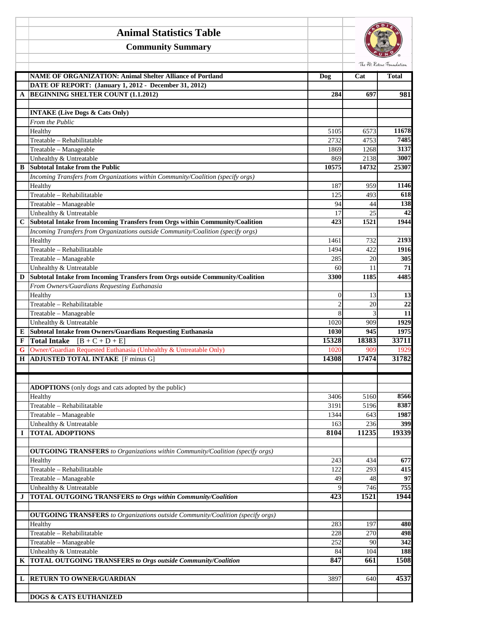|        | <b>Animal Statistics Table</b>                                                                              |                |              |                           |
|--------|-------------------------------------------------------------------------------------------------------------|----------------|--------------|---------------------------|
|        | <b>Community Summary</b>                                                                                    |                |              |                           |
|        |                                                                                                             |                |              | The Pet Rescue Foundation |
|        | <b>NAME OF ORGANIZATION: Animal Shelter Alliance of Portland</b>                                            | <b>Dog</b>     | Cat          | <b>Total</b>              |
|        | DATE OF REPORT: (January 1, 2012 - December 31, 2012)                                                       |                |              |                           |
| A      | <b>BEGINNING SHELTER COUNT (1.1.2012)</b>                                                                   | 284            | 697          | 981                       |
|        | <b>INTAKE (Live Dogs &amp; Cats Only)</b>                                                                   |                |              |                           |
|        | From the Public                                                                                             |                |              |                           |
|        | Healthy                                                                                                     | 5105           | 6573         | 11678                     |
|        | Treatable - Rehabilitatable                                                                                 | 2732           | 4753         | 7485                      |
|        | Treatable - Manageable                                                                                      | 1869           | 1268         | 3137                      |
|        | Unhealthy & Untreatable                                                                                     | 869            | 2138         | 3007                      |
| B      | <b>Subtotal Intake from the Public</b>                                                                      | 10575          | 14732        | 25307                     |
|        | Incoming Transfers from Organizations within Community/Coalition (specify orgs)                             |                |              |                           |
|        | Healthy                                                                                                     | 187            | 959          | 1146                      |
|        | Treatable - Rehabilitatable                                                                                 | 125            | 493          | 618                       |
|        | Treatable - Manageable                                                                                      | 94             | 44           | 138                       |
|        | Unhealthy & Untreatable<br>Subtotal Intake from Incoming Transfers from Orgs within Community/Coalition     | 17<br>423      | 25<br>1521   | 42<br>1944                |
| C      | Incoming Transfers from Organizations outside Community/Coalition (specify orgs)                            |                |              |                           |
|        | Healthy                                                                                                     | 1461           | 732          | 2193                      |
|        | Treatable - Rehabilitatable                                                                                 | 1494           | 422          | 1916                      |
|        | Treatable - Manageable                                                                                      | 285            | 20           | 305                       |
|        | Unhealthy & Untreatable                                                                                     | 60             | 11           | 71                        |
| D      | Subtotal Intake from Incoming Transfers from Orgs outside Community/Coalition                               | 3300           | 1185         | 4485                      |
|        | From Owners/Guardians Requesting Euthanasia                                                                 |                |              |                           |
|        | Healthy                                                                                                     | $\overline{0}$ | 13           | 13                        |
|        | Treatable - Rehabilitatable                                                                                 | 2              | 20           | $\overline{22}$           |
|        | Treatable - Manageable                                                                                      | 8              | 3            | $\overline{11}$           |
|        | Unhealthy & Untreatable                                                                                     | 1020           | 909          | 1929                      |
| E      | Subtotal Intake from Owners/Guardians Requesting Euthanasia                                                 | 1030           | 945          | 1975                      |
| F      | <b>Total Intake</b> $[B + C + D + E]$<br>Owner/Guardian Requested Euthanasia (Unhealthy & Untreatable Only) | 15328          | 18383<br>909 | 33711<br>1929             |
| G<br>Н | ADJUSTED TOTAL INTAKE [F minus G]                                                                           | 1020<br>14308  | 17474        | 31782                     |
|        |                                                                                                             |                |              |                           |
|        |                                                                                                             |                |              |                           |
|        | ADOPTIONS (only dogs and cats adopted by the public)                                                        |                |              |                           |
|        | Healthy                                                                                                     | 3406           | 5160         | 8566                      |
|        | Treatable - Rehabilitatable                                                                                 | 3191           | 5196         | 8387                      |
|        | Treatable - Manageable                                                                                      | 1344           | 643          | 1987                      |
|        | Unhealthy & Untreatable                                                                                     | 163            | 236          | 399                       |
| I      | <b>TOTAL ADOPTIONS</b>                                                                                      | 8104           | 11235        | 19339                     |
|        |                                                                                                             |                |              |                           |
|        | <b>OUTGOING TRANSFERS</b> to Organizations within Community/Coalition (specify orgs)                        |                |              |                           |
|        | Healthy                                                                                                     | 243            | 434          | 677                       |
|        | Treatable - Rehabilitatable                                                                                 | 122            | 293          | 415                       |
|        | Treatable - Manageable<br>Unhealthy & Untreatable                                                           | 49             | 48           | 97<br>755                 |
| J      | <b>TOTAL OUTGOING TRANSFERS to Orgs within Community/Coalition</b>                                          | 9<br>423       | 746<br>1521  | 1944                      |
|        |                                                                                                             |                |              |                           |
|        | <b>OUTGOING TRANSFERS</b> to Organizations outside Community/Coalition (specify orgs)                       |                |              |                           |
|        | Healthy                                                                                                     | 283            | 197          | 480                       |
|        | Treatable - Rehabilitatable                                                                                 | 228            | 270          | 498                       |
|        | Treatable - Manageable                                                                                      | 252            | 90           | 342                       |
|        | Unhealthy & Untreatable                                                                                     | 84             | 104          | 188                       |
| K      | <b>TOTAL OUTGOING TRANSFERS to Orgs outside Community/Coalition</b>                                         | 847            | 661          | 1508                      |
|        |                                                                                                             |                |              |                           |
| L      | <b>RETURN TO OWNER/GUARDIAN</b>                                                                             | 3897           | 640          | 4537                      |
|        |                                                                                                             |                |              |                           |
|        | <b>DOGS &amp; CATS EUTHANIZED</b>                                                                           |                |              |                           |